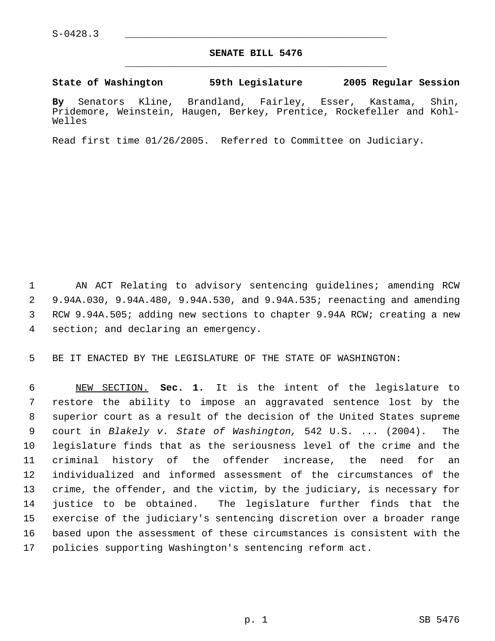## **SENATE BILL 5476** \_\_\_\_\_\_\_\_\_\_\_\_\_\_\_\_\_\_\_\_\_\_\_\_\_\_\_\_\_\_\_\_\_\_\_\_\_\_\_\_\_\_\_\_\_

**State of Washington 59th Legislature 2005 Regular Session**

**By** Senators Kline, Brandland, Fairley, Esser, Kastama, Shin, Pridemore, Weinstein, Haugen, Berkey, Prentice, Rockefeller and Kohl-Welles

Read first time 01/26/2005. Referred to Committee on Judiciary.

 AN ACT Relating to advisory sentencing guidelines; amending RCW 9.94A.030, 9.94A.480, 9.94A.530, and 9.94A.535; reenacting and amending RCW 9.94A.505; adding new sections to chapter 9.94A RCW; creating a new section; and declaring an emergency.

BE IT ENACTED BY THE LEGISLATURE OF THE STATE OF WASHINGTON:

 NEW SECTION. **Sec. 1.** It is the intent of the legislature to restore the ability to impose an aggravated sentence lost by the superior court as a result of the decision of the United States supreme court in *Blakely v. State of Washington,* 542 U.S. ... (2004). The legislature finds that as the seriousness level of the crime and the criminal history of the offender increase, the need for an individualized and informed assessment of the circumstances of the crime, the offender, and the victim, by the judiciary, is necessary for justice to be obtained. The legislature further finds that the exercise of the judiciary's sentencing discretion over a broader range based upon the assessment of these circumstances is consistent with the policies supporting Washington's sentencing reform act.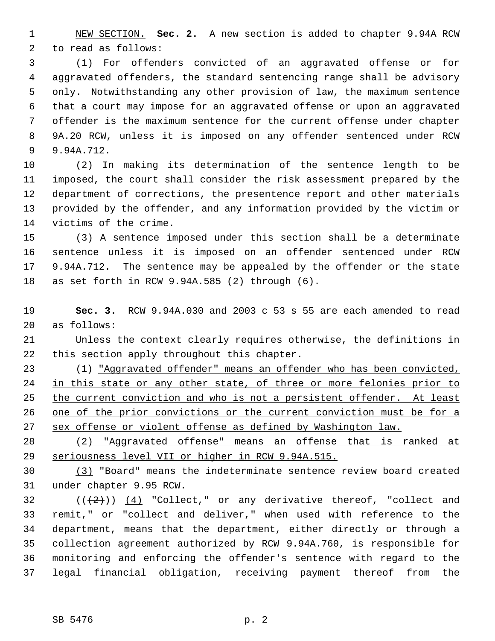NEW SECTION. **Sec. 2.** A new section is added to chapter 9.94A RCW to read as follows:

 (1) For offenders convicted of an aggravated offense or for aggravated offenders, the standard sentencing range shall be advisory only. Notwithstanding any other provision of law, the maximum sentence that a court may impose for an aggravated offense or upon an aggravated offender is the maximum sentence for the current offense under chapter 9A.20 RCW, unless it is imposed on any offender sentenced under RCW 9.94A.712.

 (2) In making its determination of the sentence length to be imposed, the court shall consider the risk assessment prepared by the department of corrections, the presentence report and other materials provided by the offender, and any information provided by the victim or victims of the crime.

 (3) A sentence imposed under this section shall be a determinate sentence unless it is imposed on an offender sentenced under RCW 9.94A.712. The sentence may be appealed by the offender or the state as set forth in RCW 9.94A.585 (2) through (6).

 **Sec. 3.** RCW 9.94A.030 and 2003 c 53 s 55 are each amended to read as follows:

 Unless the context clearly requires otherwise, the definitions in this section apply throughout this chapter.

 (1) "Aggravated offender" means an offender who has been convicted, 24 in this state or any other state, of three or more felonies prior to 25 the current conviction and who is not a persistent offender. At least 26 one of the prior convictions or the current conviction must be for a sex offense or violent offense as defined by Washington law.

 (2) "Aggravated offense" means an offense that is ranked at seriousness level VII or higher in RCW 9.94A.515.

 (3) "Board" means the indeterminate sentence review board created under chapter 9.95 RCW.

 $((+2))$   $(4)$  "Collect," or any derivative thereof, "collect and remit," or "collect and deliver," when used with reference to the department, means that the department, either directly or through a collection agreement authorized by RCW 9.94A.760, is responsible for monitoring and enforcing the offender's sentence with regard to the legal financial obligation, receiving payment thereof from the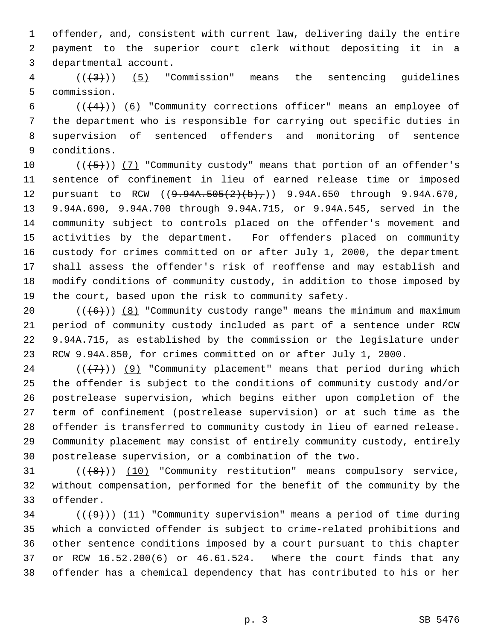offender, and, consistent with current law, delivering daily the entire payment to the superior court clerk without depositing it in a departmental account.

  $((+3))$  (5) "Commission" means the sentencing quidelines commission.

 $((+4))$   $(6)$  "Community corrections officer" means an employee of the department who is responsible for carrying out specific duties in supervision of sentenced offenders and monitoring of sentence conditions.

 $((+5))$   $(7)$  "Community custody" means that portion of an offender's sentence of confinement in lieu of earned release time or imposed 12 pursuant to RCW ((9.94A.505(2)(b),)) 9.94A.650 through 9.94A.670, 9.94A.690, 9.94A.700 through 9.94A.715, or 9.94A.545, served in the community subject to controls placed on the offender's movement and activities by the department. For offenders placed on community custody for crimes committed on or after July 1, 2000, the department shall assess the offender's risk of reoffense and may establish and modify conditions of community custody, in addition to those imposed by the court, based upon the risk to community safety.

 $((+6))$   $(8)$  "Community custody range" means the minimum and maximum period of community custody included as part of a sentence under RCW 9.94A.715, as established by the commission or the legislature under RCW 9.94A.850, for crimes committed on or after July 1, 2000.

 $((+7))$  (9) "Community placement" means that period during which the offender is subject to the conditions of community custody and/or postrelease supervision, which begins either upon completion of the term of confinement (postrelease supervision) or at such time as the offender is transferred to community custody in lieu of earned release. Community placement may consist of entirely community custody, entirely postrelease supervision, or a combination of the two.

31  $((\{8\})$   $(10)$  "Community restitution" means compulsory service, without compensation, performed for the benefit of the community by the offender.

34 ( $(\langle 49 \rangle)$ ) (11) "Community supervision" means a period of time during which a convicted offender is subject to crime-related prohibitions and other sentence conditions imposed by a court pursuant to this chapter or RCW 16.52.200(6) or 46.61.524. Where the court finds that any offender has a chemical dependency that has contributed to his or her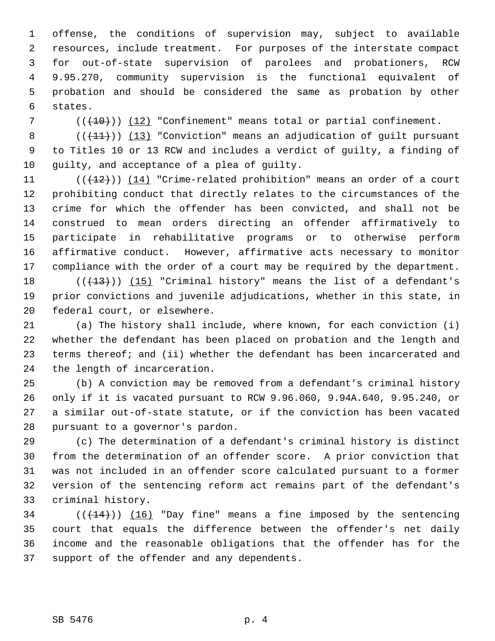offense, the conditions of supervision may, subject to available resources, include treatment. For purposes of the interstate compact for out-of-state supervision of parolees and probationers, RCW 9.95.270, community supervision is the functional equivalent of probation and should be considered the same as probation by other states.

7 (( $(10)$ )) (12) "Confinement" means total or partial confinement.

8  $((+11))$   $(13)$  "Conviction" means an adjudication of guilt pursuant to Titles 10 or 13 RCW and includes a verdict of guilty, a finding of guilty, and acceptance of a plea of guilty.

 $((+12))$   $(14)$  "Crime-related prohibition" means an order of a court prohibiting conduct that directly relates to the circumstances of the crime for which the offender has been convicted, and shall not be construed to mean orders directing an offender affirmatively to participate in rehabilitative programs or to otherwise perform affirmative conduct. However, affirmative acts necessary to monitor compliance with the order of a court may be required by the department.

18  $((+13))$   $(15)$  "Criminal history" means the list of a defendant's prior convictions and juvenile adjudications, whether in this state, in federal court, or elsewhere.

 (a) The history shall include, where known, for each conviction (i) whether the defendant has been placed on probation and the length and terms thereof; and (ii) whether the defendant has been incarcerated and the length of incarceration.

 (b) A conviction may be removed from a defendant's criminal history only if it is vacated pursuant to RCW 9.96.060, 9.94A.640, 9.95.240, or a similar out-of-state statute, or if the conviction has been vacated pursuant to a governor's pardon.

 (c) The determination of a defendant's criminal history is distinct from the determination of an offender score. A prior conviction that was not included in an offender score calculated pursuant to a former version of the sentencing reform act remains part of the defendant's criminal history.

34 ( $(\overline{(144)})$ ) (16) "Day fine" means a fine imposed by the sentencing court that equals the difference between the offender's net daily income and the reasonable obligations that the offender has for the support of the offender and any dependents.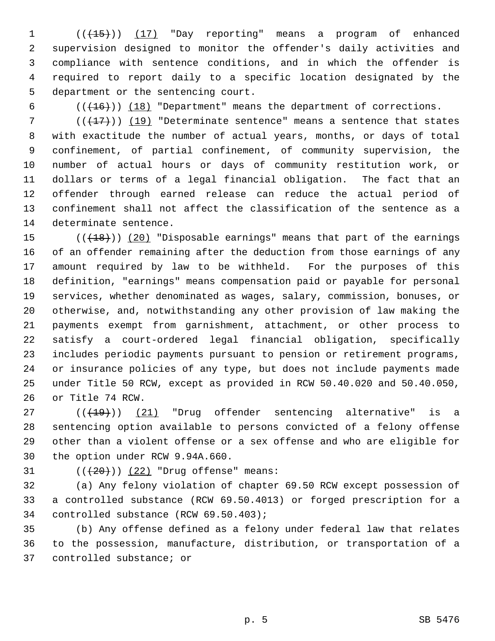1 (( $\left(\frac{15}{15}\right)$ ) (17) "Day reporting" means a program of enhanced supervision designed to monitor the offender's daily activities and compliance with sentence conditions, and in which the offender is required to report daily to a specific location designated by the department or the sentencing court.

6  $((+16))$   $(18)$  "Department" means the department of corrections.

 $((+17))$  (19) "Determinate sentence" means a sentence that states with exactitude the number of actual years, months, or days of total confinement, of partial confinement, of community supervision, the number of actual hours or days of community restitution work, or dollars or terms of a legal financial obligation. The fact that an offender through earned release can reduce the actual period of confinement shall not affect the classification of the sentence as a determinate sentence.

 $((+18))$   $(20)$  "Disposable earnings" means that part of the earnings of an offender remaining after the deduction from those earnings of any amount required by law to be withheld. For the purposes of this definition, "earnings" means compensation paid or payable for personal services, whether denominated as wages, salary, commission, bonuses, or otherwise, and, notwithstanding any other provision of law making the payments exempt from garnishment, attachment, or other process to satisfy a court-ordered legal financial obligation, specifically includes periodic payments pursuant to pension or retirement programs, or insurance policies of any type, but does not include payments made under Title 50 RCW, except as provided in RCW 50.40.020 and 50.40.050, or Title 74 RCW.

 $((+19))$   $(21)$  "Drug offender sentencing alternative" is a sentencing option available to persons convicted of a felony offense other than a violent offense or a sex offense and who are eligible for the option under RCW 9.94A.660.

31  $((+20))$   $(22)$  "Drug offense" means:

 (a) Any felony violation of chapter 69.50 RCW except possession of a controlled substance (RCW 69.50.4013) or forged prescription for a controlled substance (RCW 69.50.403);

 (b) Any offense defined as a felony under federal law that relates to the possession, manufacture, distribution, or transportation of a controlled substance; or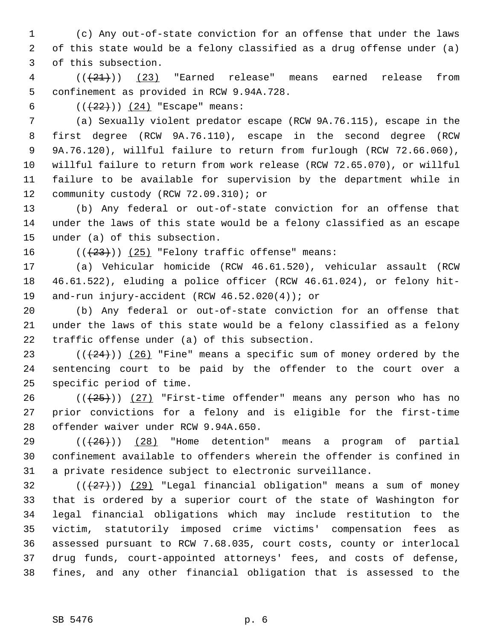(c) Any out-of-state conviction for an offense that under the laws of this state would be a felony classified as a drug offense under (a) of this subsection.

 ( $(\overline{21})$ ) (23) "Earned release" means earned release from confinement as provided in RCW 9.94A.728.

6  $((+22))$   $(24)$  "Escape" means:

 (a) Sexually violent predator escape (RCW 9A.76.115), escape in the first degree (RCW 9A.76.110), escape in the second degree (RCW 9A.76.120), willful failure to return from furlough (RCW 72.66.060), willful failure to return from work release (RCW 72.65.070), or willful failure to be available for supervision by the department while in 12 community custody (RCW 72.09.310); or

 (b) Any federal or out-of-state conviction for an offense that under the laws of this state would be a felony classified as an escape under (a) of this subsection.

16  $((+23))$   $(25)$  "Felony traffic offense" means:

 (a) Vehicular homicide (RCW 46.61.520), vehicular assault (RCW 46.61.522), eluding a police officer (RCW 46.61.024), or felony hit-and-run injury-accident (RCW 46.52.020(4)); or

 (b) Any federal or out-of-state conviction for an offense that under the laws of this state would be a felony classified as a felony traffic offense under (a) of this subsection.

23  $((+24))$   $(26)$  "Fine" means a specific sum of money ordered by the sentencing court to be paid by the offender to the court over a specific period of time.

 $((+25))$   $(27)$  "First-time offender" means any person who has no prior convictions for a felony and is eligible for the first-time offender waiver under RCW 9.94A.650.

 $((+26))$   $(28)$  "Home detention" means a program of partial confinement available to offenders wherein the offender is confined in a private residence subject to electronic surveillance.

 $((+27+))$  (29) "Legal financial obligation" means a sum of money that is ordered by a superior court of the state of Washington for legal financial obligations which may include restitution to the victim, statutorily imposed crime victims' compensation fees as assessed pursuant to RCW 7.68.035, court costs, county or interlocal drug funds, court-appointed attorneys' fees, and costs of defense, fines, and any other financial obligation that is assessed to the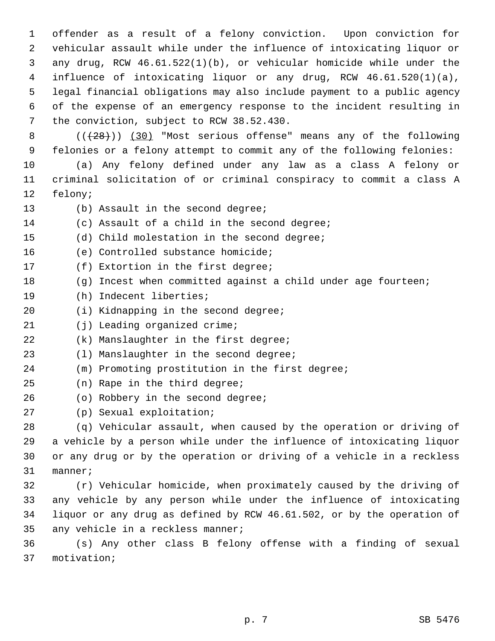offender as a result of a felony conviction. Upon conviction for vehicular assault while under the influence of intoxicating liquor or any drug, RCW 46.61.522(1)(b), or vehicular homicide while under the influence of intoxicating liquor or any drug, RCW 46.61.520(1)(a), legal financial obligations may also include payment to a public agency of the expense of an emergency response to the incident resulting in the conviction, subject to RCW 38.52.430.

8 (( $(28)$ )) (30) "Most serious offense" means any of the following felonies or a felony attempt to commit any of the following felonies:

 (a) Any felony defined under any law as a class A felony or criminal solicitation of or criminal conspiracy to commit a class A felony;

- 13 (b) Assault in the second degree;
- (c) Assault of a child in the second degree;
- (d) Child molestation in the second degree;
- (e) Controlled substance homicide;
- (f) Extortion in the first degree;
- (g) Incest when committed against a child under age fourteen;
- (h) Indecent liberties;
- (i) Kidnapping in the second degree;
- (j) Leading organized crime;
- (k) Manslaughter in the first degree;
- (l) Manslaughter in the second degree;
- (m) Promoting prostitution in the first degree;
- (n) Rape in the third degree;
- 26 (o) Robbery in the second degree;
- (p) Sexual exploitation;

 (q) Vehicular assault, when caused by the operation or driving of a vehicle by a person while under the influence of intoxicating liquor or any drug or by the operation or driving of a vehicle in a reckless manner;

 (r) Vehicular homicide, when proximately caused by the driving of any vehicle by any person while under the influence of intoxicating liquor or any drug as defined by RCW 46.61.502, or by the operation of any vehicle in a reckless manner;

 (s) Any other class B felony offense with a finding of sexual motivation;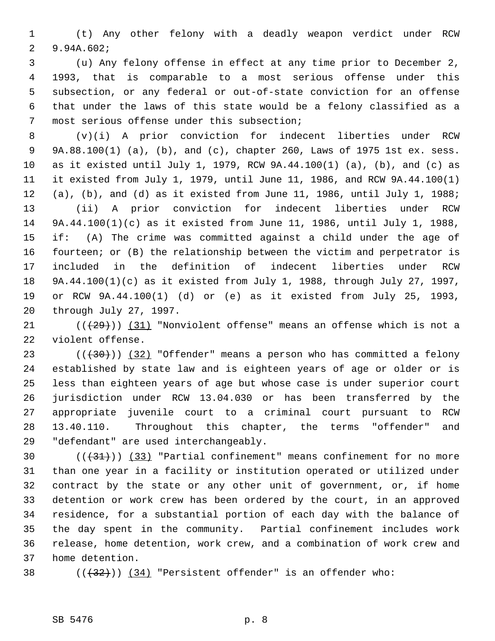(t) Any other felony with a deadly weapon verdict under RCW 9.94A.602;

 (u) Any felony offense in effect at any time prior to December 2, 1993, that is comparable to a most serious offense under this subsection, or any federal or out-of-state conviction for an offense that under the laws of this state would be a felony classified as a most serious offense under this subsection;

 (v)(i) A prior conviction for indecent liberties under RCW 9A.88.100(1) (a), (b), and (c), chapter 260, Laws of 1975 1st ex. sess. as it existed until July 1, 1979, RCW 9A.44.100(1) (a), (b), and (c) as it existed from July 1, 1979, until June 11, 1986, and RCW 9A.44.100(1) (a), (b), and (d) as it existed from June 11, 1986, until July 1, 1988; (ii) A prior conviction for indecent liberties under RCW 9A.44.100(1)(c) as it existed from June 11, 1986, until July 1, 1988, if: (A) The crime was committed against a child under the age of fourteen; or (B) the relationship between the victim and perpetrator is included in the definition of indecent liberties under RCW 9A.44.100(1)(c) as it existed from July 1, 1988, through July 27, 1997, or RCW 9A.44.100(1) (d) or (e) as it existed from July 25, 1993, through July 27, 1997.

21  $((+29))$   $(31)$  "Nonviolent offense" means an offense which is not a violent offense.

 $((+30))$   $(32)$  "Offender" means a person who has committed a felony established by state law and is eighteen years of age or older or is less than eighteen years of age but whose case is under superior court jurisdiction under RCW 13.04.030 or has been transferred by the appropriate juvenile court to a criminal court pursuant to RCW 13.40.110. Throughout this chapter, the terms "offender" and "defendant" are used interchangeably.

 $((+31))$   $(33)$  "Partial confinement" means confinement for no more than one year in a facility or institution operated or utilized under contract by the state or any other unit of government, or, if home detention or work crew has been ordered by the court, in an approved residence, for a substantial portion of each day with the balance of the day spent in the community. Partial confinement includes work release, home detention, work crew, and a combination of work crew and home detention.

38  $((+32))$   $(34)$  "Persistent offender" is an offender who: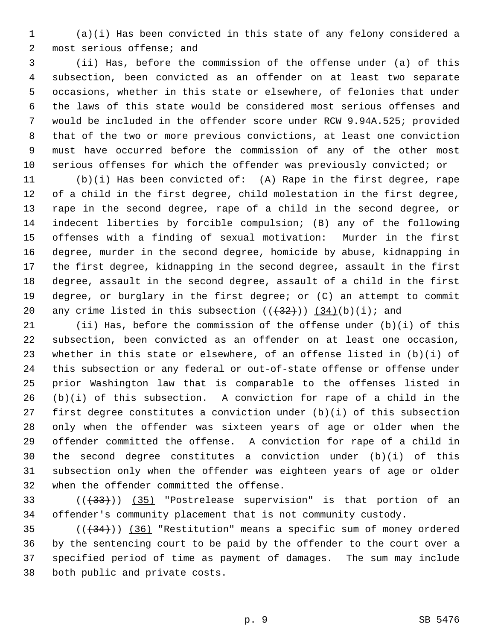(a)(i) Has been convicted in this state of any felony considered a most serious offense; and

 (ii) Has, before the commission of the offense under (a) of this subsection, been convicted as an offender on at least two separate occasions, whether in this state or elsewhere, of felonies that under the laws of this state would be considered most serious offenses and would be included in the offender score under RCW 9.94A.525; provided that of the two or more previous convictions, at least one conviction must have occurred before the commission of any of the other most serious offenses for which the offender was previously convicted; or

 (b)(i) Has been convicted of: (A) Rape in the first degree, rape of a child in the first degree, child molestation in the first degree, rape in the second degree, rape of a child in the second degree, or indecent liberties by forcible compulsion; (B) any of the following offenses with a finding of sexual motivation: Murder in the first degree, murder in the second degree, homicide by abuse, kidnapping in the first degree, kidnapping in the second degree, assault in the first degree, assault in the second degree, assault of a child in the first degree, or burglary in the first degree; or (C) an attempt to commit 20 any crime listed in this subsection  $((+32))$   $(34)(b)(i)$ ; and

 (ii) Has, before the commission of the offense under (b)(i) of this subsection, been convicted as an offender on at least one occasion, whether in this state or elsewhere, of an offense listed in (b)(i) of this subsection or any federal or out-of-state offense or offense under prior Washington law that is comparable to the offenses listed in (b)(i) of this subsection. A conviction for rape of a child in the first degree constitutes a conviction under (b)(i) of this subsection only when the offender was sixteen years of age or older when the offender committed the offense. A conviction for rape of a child in the second degree constitutes a conviction under (b)(i) of this subsection only when the offender was eighteen years of age or older when the offender committed the offense.

33 (( $(33)$ ) (35) "Postrelease supervision" is that portion of an offender's community placement that is not community custody.

 $((+34))$   $(36)$  "Restitution" means a specific sum of money ordered by the sentencing court to be paid by the offender to the court over a specified period of time as payment of damages. The sum may include both public and private costs.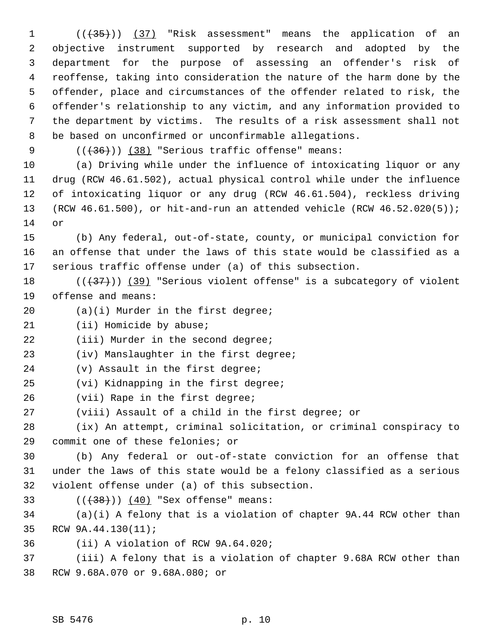1 (( $\left(\frac{35}{1}\right)$ ) (37) "Risk assessment" means the application of an objective instrument supported by research and adopted by the department for the purpose of assessing an offender's risk of reoffense, taking into consideration the nature of the harm done by the offender, place and circumstances of the offender related to risk, the offender's relationship to any victim, and any information provided to the department by victims. The results of a risk assessment shall not be based on unconfirmed or unconfirmable allegations.

9  $((+36))$   $(38)$  "Serious traffic offense" means:

 (a) Driving while under the influence of intoxicating liquor or any drug (RCW 46.61.502), actual physical control while under the influence of intoxicating liquor or any drug (RCW 46.61.504), reckless driving (RCW 46.61.500), or hit-and-run an attended vehicle (RCW 46.52.020(5)); or

 (b) Any federal, out-of-state, county, or municipal conviction for an offense that under the laws of this state would be classified as a serious traffic offense under (a) of this subsection.

18  $((+37))$   $(39)$  "Serious violent offense" is a subcategory of violent offense and means:

(a)(i) Murder in the first degree;

(ii) Homicide by abuse;

22 (iii) Murder in the second degree;

(iv) Manslaughter in the first degree;

(v) Assault in the first degree;

(vi) Kidnapping in the first degree;

(vii) Rape in the first degree;

(viii) Assault of a child in the first degree; or

 (ix) An attempt, criminal solicitation, or criminal conspiracy to commit one of these felonies; or

 (b) Any federal or out-of-state conviction for an offense that under the laws of this state would be a felony classified as a serious violent offense under (a) of this subsection.

33  $((+38)) (40)$  "Sex offense" means:

 (a)(i) A felony that is a violation of chapter 9A.44 RCW other than RCW 9A.44.130(11);

(ii) A violation of RCW 9A.64.020;

 (iii) A felony that is a violation of chapter 9.68A RCW other than RCW 9.68A.070 or 9.68A.080; or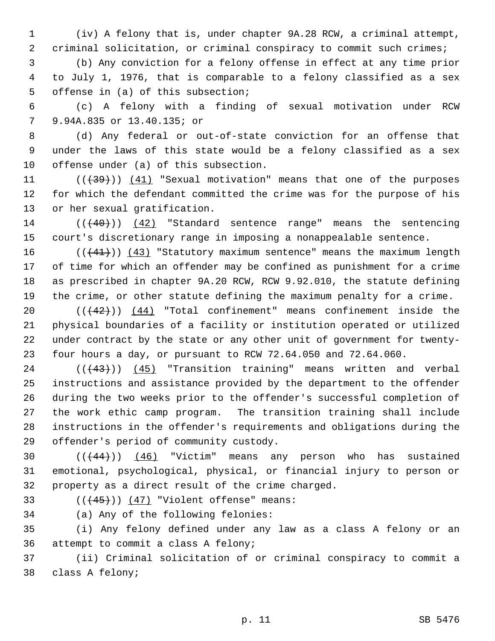(iv) A felony that is, under chapter 9A.28 RCW, a criminal attempt, criminal solicitation, or criminal conspiracy to commit such crimes;

 (b) Any conviction for a felony offense in effect at any time prior to July 1, 1976, that is comparable to a felony classified as a sex offense in (a) of this subsection;

 (c) A felony with a finding of sexual motivation under RCW 9.94A.835 or 13.40.135; or

 (d) Any federal or out-of-state conviction for an offense that under the laws of this state would be a felony classified as a sex offense under (a) of this subsection.

11  $((+39))$   $(41)$  "Sexual motivation" means that one of the purposes for which the defendant committed the crime was for the purpose of his or her sexual gratification.

 (((40))) (42) "Standard sentence range" means the sentencing court's discretionary range in imposing a nonappealable sentence.

 $((41))$   $(43)$  "Statutory maximum sentence" means the maximum length of time for which an offender may be confined as punishment for a crime as prescribed in chapter 9A.20 RCW, RCW 9.92.010, the statute defining the crime, or other statute defining the maximum penalty for a crime.

 $((+42))$   $(44)$  "Total confinement" means confinement inside the physical boundaries of a facility or institution operated or utilized under contract by the state or any other unit of government for twenty-four hours a day, or pursuant to RCW 72.64.050 and 72.64.060.

24 (((43))) (45) "Transition training" means written and verbal instructions and assistance provided by the department to the offender during the two weeks prior to the offender's successful completion of the work ethic camp program. The transition training shall include instructions in the offender's requirements and obligations during the offender's period of community custody.

30  $((444))$   $(46)$  "Victim" means any person who has sustained emotional, psychological, physical, or financial injury to person or property as a direct result of the crime charged.

33  $((+45))$   $(47)$  "Violent offense" means:

(a) Any of the following felonies:

 (i) Any felony defined under any law as a class A felony or an attempt to commit a class A felony;

 (ii) Criminal solicitation of or criminal conspiracy to commit a class A felony;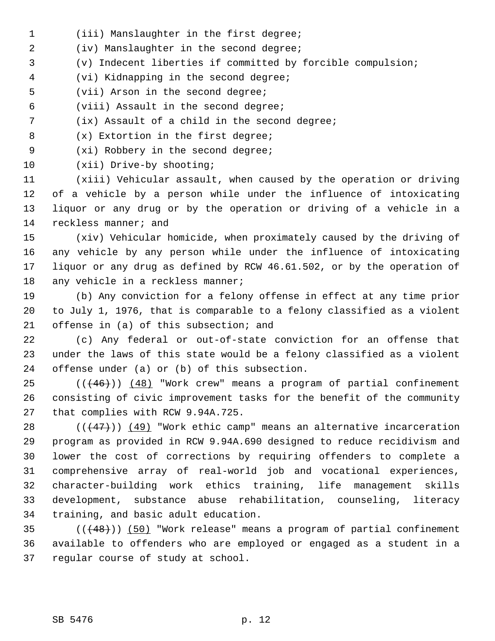- (iii) Manslaughter in the first degree;
- (iv) Manslaughter in the second degree;
- (v) Indecent liberties if committed by forcible compulsion;
- (vi) Kidnapping in the second degree;
- (vii) Arson in the second degree;
- (viii) Assault in the second degree;
- (ix) Assault of a child in the second degree;
- (x) Extortion in the first degree;
- (xi) Robbery in the second degree;
- (xii) Drive-by shooting;

 (xiii) Vehicular assault, when caused by the operation or driving of a vehicle by a person while under the influence of intoxicating liquor or any drug or by the operation or driving of a vehicle in a reckless manner; and

 (xiv) Vehicular homicide, when proximately caused by the driving of any vehicle by any person while under the influence of intoxicating liquor or any drug as defined by RCW 46.61.502, or by the operation of 18 any vehicle in a reckless manner;

 (b) Any conviction for a felony offense in effect at any time prior to July 1, 1976, that is comparable to a felony classified as a violent offense in (a) of this subsection; and

 (c) Any federal or out-of-state conviction for an offense that under the laws of this state would be a felony classified as a violent offense under (a) or (b) of this subsection.

 ( $(\overline{+46})$ ) (48) "Work crew" means a program of partial confinement consisting of civic improvement tasks for the benefit of the community that complies with RCW 9.94A.725.

 $((+47))$   $(49)$  "Work ethic camp" means an alternative incarceration program as provided in RCW 9.94A.690 designed to reduce recidivism and lower the cost of corrections by requiring offenders to complete a comprehensive array of real-world job and vocational experiences, character-building work ethics training, life management skills development, substance abuse rehabilitation, counseling, literacy training, and basic adult education.

 (((48))) (50) "Work release" means a program of partial confinement available to offenders who are employed or engaged as a student in a regular course of study at school.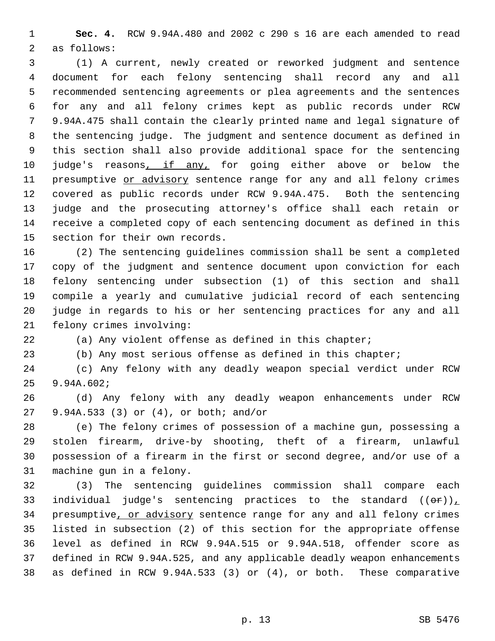**Sec. 4.** RCW 9.94A.480 and 2002 c 290 s 16 are each amended to read as follows:

 (1) A current, newly created or reworked judgment and sentence document for each felony sentencing shall record any and all recommended sentencing agreements or plea agreements and the sentences for any and all felony crimes kept as public records under RCW 9.94A.475 shall contain the clearly printed name and legal signature of the sentencing judge. The judgment and sentence document as defined in this section shall also provide additional space for the sentencing 10 judge's reasons, if any, for going either above or below the 11 presumptive or advisory sentence range for any and all felony crimes covered as public records under RCW 9.94A.475. Both the sentencing judge and the prosecuting attorney's office shall each retain or receive a completed copy of each sentencing document as defined in this section for their own records.

 (2) The sentencing guidelines commission shall be sent a completed copy of the judgment and sentence document upon conviction for each felony sentencing under subsection (1) of this section and shall compile a yearly and cumulative judicial record of each sentencing judge in regards to his or her sentencing practices for any and all felony crimes involving:

(a) Any violent offense as defined in this chapter;

(b) Any most serious offense as defined in this chapter;

 (c) Any felony with any deadly weapon special verdict under RCW 9.94A.602;

 (d) Any felony with any deadly weapon enhancements under RCW 9.94A.533 (3) or (4), or both; and/or

 (e) The felony crimes of possession of a machine gun, possessing a stolen firearm, drive-by shooting, theft of a firearm, unlawful possession of a firearm in the first or second degree, and/or use of a machine gun in a felony.

 (3) The sentencing guidelines commission shall compare each 33 individual judge's sentencing practices to the standard  $((\theta \cdot \mathbf{r}))$ 34 presumptive, or advisory sentence range for any and all felony crimes listed in subsection (2) of this section for the appropriate offense level as defined in RCW 9.94A.515 or 9.94A.518, offender score as defined in RCW 9.94A.525, and any applicable deadly weapon enhancements as defined in RCW 9.94A.533 (3) or (4), or both. These comparative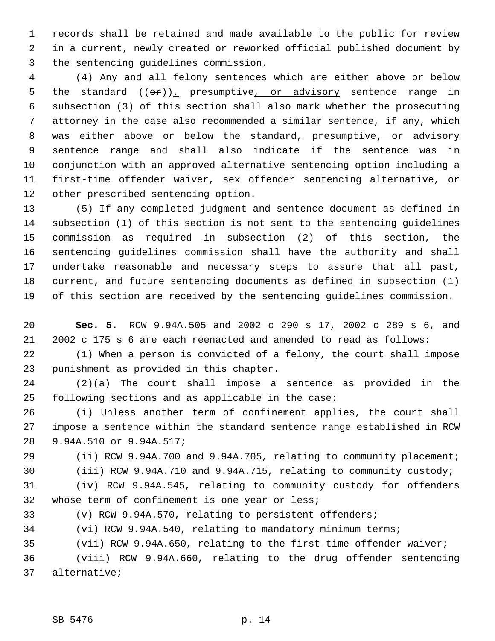records shall be retained and made available to the public for review in a current, newly created or reworked official published document by the sentencing guidelines commission.

 (4) Any and all felony sentences which are either above or below 5 the standard  $((e^x))_x$  presumptive, or advisory sentence range in subsection (3) of this section shall also mark whether the prosecuting attorney in the case also recommended a similar sentence, if any, which 8 was either above or below the standard, presumptive, or advisory sentence range and shall also indicate if the sentence was in conjunction with an approved alternative sentencing option including a first-time offender waiver, sex offender sentencing alternative, or other prescribed sentencing option.

 (5) If any completed judgment and sentence document as defined in subsection (1) of this section is not sent to the sentencing guidelines commission as required in subsection (2) of this section, the sentencing guidelines commission shall have the authority and shall undertake reasonable and necessary steps to assure that all past, current, and future sentencing documents as defined in subsection (1) of this section are received by the sentencing guidelines commission.

 **Sec. 5.** RCW 9.94A.505 and 2002 c 290 s 17, 2002 c 289 s 6, and 2002 c 175 s 6 are each reenacted and amended to read as follows:

 (1) When a person is convicted of a felony, the court shall impose punishment as provided in this chapter.

 (2)(a) The court shall impose a sentence as provided in the following sections and as applicable in the case:

 (i) Unless another term of confinement applies, the court shall impose a sentence within the standard sentence range established in RCW 9.94A.510 or 9.94A.517;

 (ii) RCW 9.94A.700 and 9.94A.705, relating to community placement; (iii) RCW 9.94A.710 and 9.94A.715, relating to community custody;

 (iv) RCW 9.94A.545, relating to community custody for offenders whose term of confinement is one year or less;

(v) RCW 9.94A.570, relating to persistent offenders;

(vi) RCW 9.94A.540, relating to mandatory minimum terms;

(vii) RCW 9.94A.650, relating to the first-time offender waiver;

 (viii) RCW 9.94A.660, relating to the drug offender sentencing alternative;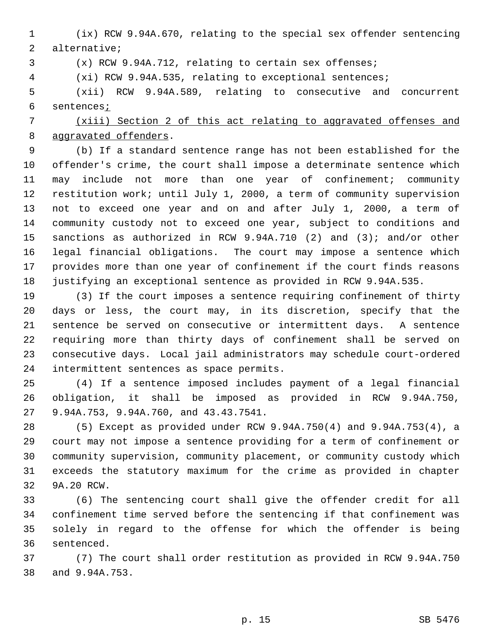(ix) RCW 9.94A.670, relating to the special sex offender sentencing alternative;

(x) RCW 9.94A.712, relating to certain sex offenses;

(xi) RCW 9.94A.535, relating to exceptional sentences;

 (xii) RCW 9.94A.589, relating to consecutive and concurrent 6 sentences<sub>i</sub>

## (xiii) Section 2 of this act relating to aggravated offenses and aggravated offenders.

 (b) If a standard sentence range has not been established for the offender's crime, the court shall impose a determinate sentence which may include not more than one year of confinement; community restitution work; until July 1, 2000, a term of community supervision not to exceed one year and on and after July 1, 2000, a term of community custody not to exceed one year, subject to conditions and sanctions as authorized in RCW 9.94A.710 (2) and (3); and/or other legal financial obligations. The court may impose a sentence which provides more than one year of confinement if the court finds reasons justifying an exceptional sentence as provided in RCW 9.94A.535.

 (3) If the court imposes a sentence requiring confinement of thirty days or less, the court may, in its discretion, specify that the sentence be served on consecutive or intermittent days. A sentence requiring more than thirty days of confinement shall be served on consecutive days. Local jail administrators may schedule court-ordered intermittent sentences as space permits.

 (4) If a sentence imposed includes payment of a legal financial obligation, it shall be imposed as provided in RCW 9.94A.750, 9.94A.753, 9.94A.760, and 43.43.7541.

 (5) Except as provided under RCW 9.94A.750(4) and 9.94A.753(4), a court may not impose a sentence providing for a term of confinement or community supervision, community placement, or community custody which exceeds the statutory maximum for the crime as provided in chapter 9A.20 RCW.

 (6) The sentencing court shall give the offender credit for all confinement time served before the sentencing if that confinement was solely in regard to the offense for which the offender is being sentenced.

 (7) The court shall order restitution as provided in RCW 9.94A.750 and 9.94A.753.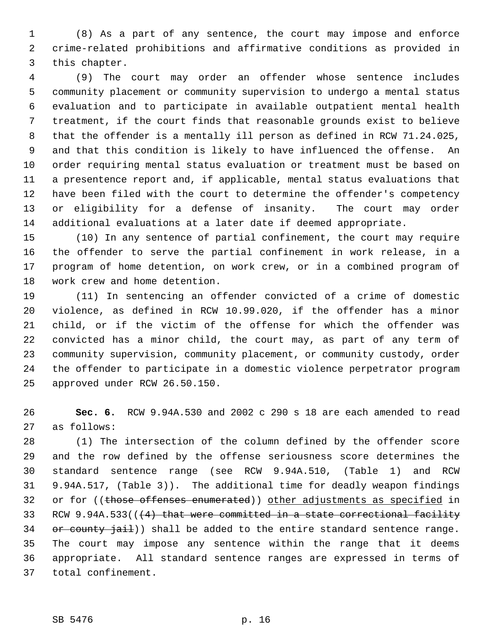(8) As a part of any sentence, the court may impose and enforce crime-related prohibitions and affirmative conditions as provided in this chapter.

 (9) The court may order an offender whose sentence includes community placement or community supervision to undergo a mental status evaluation and to participate in available outpatient mental health treatment, if the court finds that reasonable grounds exist to believe that the offender is a mentally ill person as defined in RCW 71.24.025, and that this condition is likely to have influenced the offense. An order requiring mental status evaluation or treatment must be based on a presentence report and, if applicable, mental status evaluations that have been filed with the court to determine the offender's competency or eligibility for a defense of insanity. The court may order additional evaluations at a later date if deemed appropriate.

 (10) In any sentence of partial confinement, the court may require the offender to serve the partial confinement in work release, in a program of home detention, on work crew, or in a combined program of work crew and home detention.

 (11) In sentencing an offender convicted of a crime of domestic violence, as defined in RCW 10.99.020, if the offender has a minor child, or if the victim of the offense for which the offender was convicted has a minor child, the court may, as part of any term of community supervision, community placement, or community custody, order the offender to participate in a domestic violence perpetrator program approved under RCW 26.50.150.

 **Sec. 6.** RCW 9.94A.530 and 2002 c 290 s 18 are each amended to read as follows:

 (1) The intersection of the column defined by the offender score and the row defined by the offense seriousness score determines the standard sentence range (see RCW 9.94A.510, (Table 1) and RCW 9.94A.517, (Table 3)). The additional time for deadly weapon findings 32 or for ((those offenses enumerated)) other adjustments as specified in 33 RCW 9.94A.533( $(4)$  that were committed in a state correctional facility 34 or county jail)) shall be added to the entire standard sentence range. The court may impose any sentence within the range that it deems appropriate. All standard sentence ranges are expressed in terms of total confinement.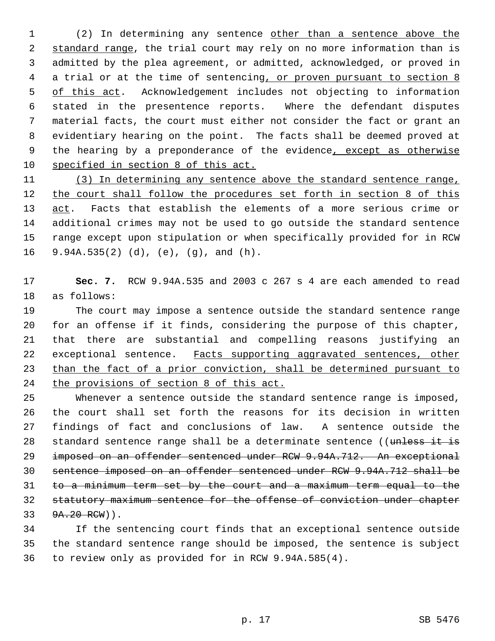(2) In determining any sentence other than a sentence above the 2 standard range, the trial court may rely on no more information than is admitted by the plea agreement, or admitted, acknowledged, or proved in 4 a trial or at the time of sentencing, or proven pursuant to section 8 5 of this act. Acknowledgement includes not objecting to information stated in the presentence reports. Where the defendant disputes material facts, the court must either not consider the fact or grant an evidentiary hearing on the point. The facts shall be deemed proved at 9 the hearing by a preponderance of the evidence, except as otherwise specified in section 8 of this act.

 (3) In determining any sentence above the standard sentence range, 12 the court shall follow the procedures set forth in section 8 of this act. Facts that establish the elements of a more serious crime or additional crimes may not be used to go outside the standard sentence range except upon stipulation or when specifically provided for in RCW 9.94A.535(2) (d), (e), (g), and (h).

 **Sec. 7.** RCW 9.94A.535 and 2003 c 267 s 4 are each amended to read as follows:

 The court may impose a sentence outside the standard sentence range for an offense if it finds, considering the purpose of this chapter, that there are substantial and compelling reasons justifying an 22 exceptional sentence. Facts supporting aggravated sentences, other than the fact of a prior conviction, shall be determined pursuant to the provisions of section 8 of this act.

 Whenever a sentence outside the standard sentence range is imposed, the court shall set forth the reasons for its decision in written findings of fact and conclusions of law. A sentence outside the 28 standard sentence range shall be a determinate sentence ((unless it is imposed on an offender sentenced under RCW 9.94A.712. An exceptional sentence imposed on an offender sentenced under RCW 9.94A.712 shall be to a minimum term set by the court and a maximum term equal to the statutory maximum sentence for the offense of conviction under chapter 33 9A.20 RCW)).

 If the sentencing court finds that an exceptional sentence outside the standard sentence range should be imposed, the sentence is subject to review only as provided for in RCW 9.94A.585(4).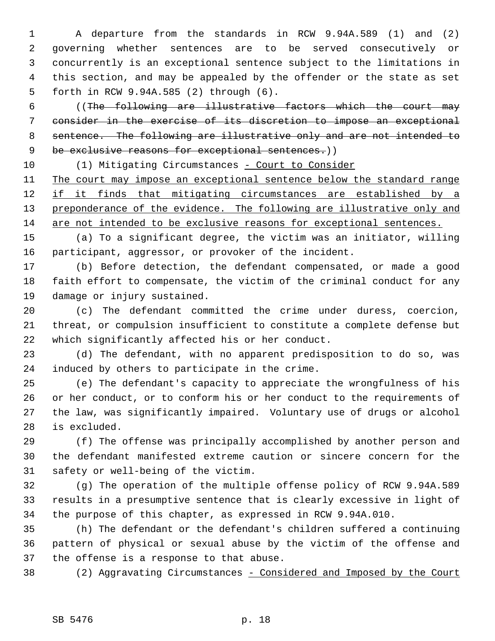A departure from the standards in RCW 9.94A.589 (1) and (2) governing whether sentences are to be served consecutively or concurrently is an exceptional sentence subject to the limitations in this section, and may be appealed by the offender or the state as set forth in RCW 9.94A.585 (2) through (6).

 ((The following are illustrative factors which the court may consider in the exercise of its discretion to impose an exceptional sentence. The following are illustrative only and are not intended to 9 be exclusive reasons for exceptional sentences.))

10 (1) Mitigating Circumstances - Court to Consider The court may impose an exceptional sentence below the standard range 12 if it finds that mitigating circumstances are established by a 13 preponderance of the evidence. The following are illustrative only and are not intended to be exclusive reasons for exceptional sentences.

 (a) To a significant degree, the victim was an initiator, willing participant, aggressor, or provoker of the incident.

 (b) Before detection, the defendant compensated, or made a good faith effort to compensate, the victim of the criminal conduct for any damage or injury sustained.

 (c) The defendant committed the crime under duress, coercion, threat, or compulsion insufficient to constitute a complete defense but which significantly affected his or her conduct.

 (d) The defendant, with no apparent predisposition to do so, was induced by others to participate in the crime.

 (e) The defendant's capacity to appreciate the wrongfulness of his or her conduct, or to conform his or her conduct to the requirements of the law, was significantly impaired. Voluntary use of drugs or alcohol is excluded.

 (f) The offense was principally accomplished by another person and the defendant manifested extreme caution or sincere concern for the safety or well-being of the victim.

 (g) The operation of the multiple offense policy of RCW 9.94A.589 results in a presumptive sentence that is clearly excessive in light of the purpose of this chapter, as expressed in RCW 9.94A.010.

 (h) The defendant or the defendant's children suffered a continuing pattern of physical or sexual abuse by the victim of the offense and the offense is a response to that abuse.

38 (2) Aggravating Circumstances - Considered and Imposed by the Court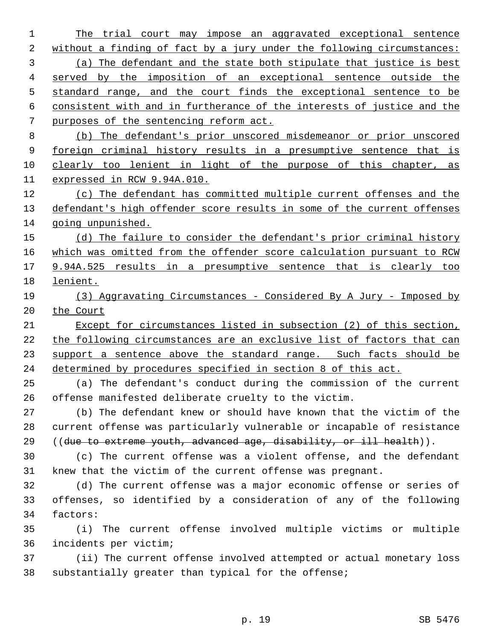1 The trial court may impose an aggravated exceptional sentence 2 without a finding of fact by a jury under the following circumstances: (a) The defendant and the state both stipulate that justice is best served by the imposition of an exceptional sentence outside the standard range, and the court finds the exceptional sentence to be consistent with and in furtherance of the interests of justice and the purposes of the sentencing reform act. (b) The defendant's prior unscored misdemeanor or prior unscored 9 foreign criminal history results in a presumptive sentence that is clearly too lenient in light of the purpose of this chapter, as expressed in RCW 9.94A.010. (c) The defendant has committed multiple current offenses and the 13 defendant's high offender score results in some of the current offenses going unpunished. 15 (d) The failure to consider the defendant's prior criminal history which was omitted from the offender score calculation pursuant to RCW 9.94A.525 results in a presumptive sentence that is clearly too lenient. (3) Aggravating Circumstances - Considered By A Jury - Imposed by 20 the Court Except for circumstances listed in subsection (2) of this section, the following circumstances are an exclusive list of factors that can 23 support a sentence above the standard range. Such facts should be determined by procedures specified in section 8 of this act. (a) The defendant's conduct during the commission of the current offense manifested deliberate cruelty to the victim. (b) The defendant knew or should have known that the victim of the current offense was particularly vulnerable or incapable of resistance ((due to extreme youth, advanced age, disability, or ill health)). (c) The current offense was a violent offense, and the defendant knew that the victim of the current offense was pregnant. (d) The current offense was a major economic offense or series of offenses, so identified by a consideration of any of the following factors: (i) The current offense involved multiple victims or multiple incidents per victim; (ii) The current offense involved attempted or actual monetary loss substantially greater than typical for the offense;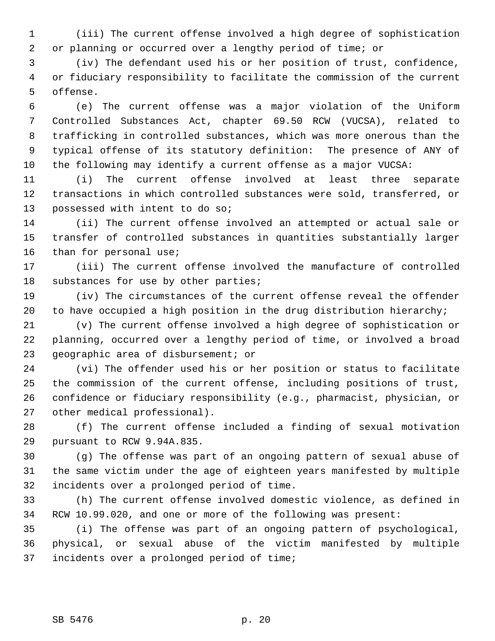(iii) The current offense involved a high degree of sophistication or planning or occurred over a lengthy period of time; or

 (iv) The defendant used his or her position of trust, confidence, or fiduciary responsibility to facilitate the commission of the current offense.

 (e) The current offense was a major violation of the Uniform Controlled Substances Act, chapter 69.50 RCW (VUCSA), related to trafficking in controlled substances, which was more onerous than the typical offense of its statutory definition: The presence of ANY of the following may identify a current offense as a major VUCSA:

 (i) The current offense involved at least three separate transactions in which controlled substances were sold, transferred, or possessed with intent to do so;

 (ii) The current offense involved an attempted or actual sale or transfer of controlled substances in quantities substantially larger than for personal use;

 (iii) The current offense involved the manufacture of controlled 18 substances for use by other parties;

 (iv) The circumstances of the current offense reveal the offender to have occupied a high position in the drug distribution hierarchy;

 (v) The current offense involved a high degree of sophistication or planning, occurred over a lengthy period of time, or involved a broad geographic area of disbursement; or

 (vi) The offender used his or her position or status to facilitate the commission of the current offense, including positions of trust, confidence or fiduciary responsibility (e.g., pharmacist, physician, or other medical professional).

 (f) The current offense included a finding of sexual motivation pursuant to RCW 9.94A.835.

 (g) The offense was part of an ongoing pattern of sexual abuse of the same victim under the age of eighteen years manifested by multiple incidents over a prolonged period of time.

 (h) The current offense involved domestic violence, as defined in RCW 10.99.020, and one or more of the following was present:

 (i) The offense was part of an ongoing pattern of psychological, physical, or sexual abuse of the victim manifested by multiple incidents over a prolonged period of time;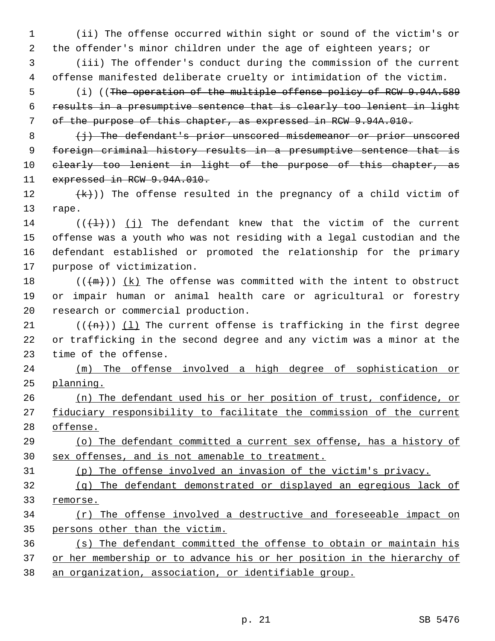(ii) The offense occurred within sight or sound of the victim's or the offender's minor children under the age of eighteen years; or

 (iii) The offender's conduct during the commission of the current offense manifested deliberate cruelty or intimidation of the victim.

5 (i) ((The operation of the multiple offense policy of RCW 9.94A.589) results in a presumptive sentence that is clearly too lenient in light of the purpose of this chapter, as expressed in RCW 9.94A.010.

  $\left\{\frac{1}{2}\right\}$  The defendant's prior unscored misdemeanor or prior unscored foreign criminal history results in a presumptive sentence that is 10 clearly too lenient in light of the purpose of this chapter, as 11 expressed in RCW 9.94A.010.

 $(\kappa)$ ) The offense resulted in the pregnancy of a child victim of rape.

14 ( $(\{\pm\})$ ) (j) The defendant knew that the victim of the current offense was a youth who was not residing with a legal custodian and the defendant established or promoted the relationship for the primary purpose of victimization.

18  $((+m))$   $(k)$  The offense was committed with the intent to obstruct or impair human or animal health care or agricultural or forestry research or commercial production.

21 ( $(\overline{(n)})$  (1) The current offense is trafficking in the first degree or trafficking in the second degree and any victim was a minor at the time of the offense.

 (m) The offense involved a high degree of sophistication or planning.

 (n) The defendant used his or her position of trust, confidence, or 27 fiduciary responsibility to facilitate the commission of the current offense.

 (o) The defendant committed a current sex offense, has a history of sex offenses, and is not amenable to treatment.

(p) The offense involved an invasion of the victim's privacy.

 (q) The defendant demonstrated or displayed an egregious lack of remorse.

 (r) The offense involved a destructive and foreseeable impact on persons other than the victim.

 (s) The defendant committed the offense to obtain or maintain his 37 or her membership or to advance his or her position in the hierarchy of an organization, association, or identifiable group.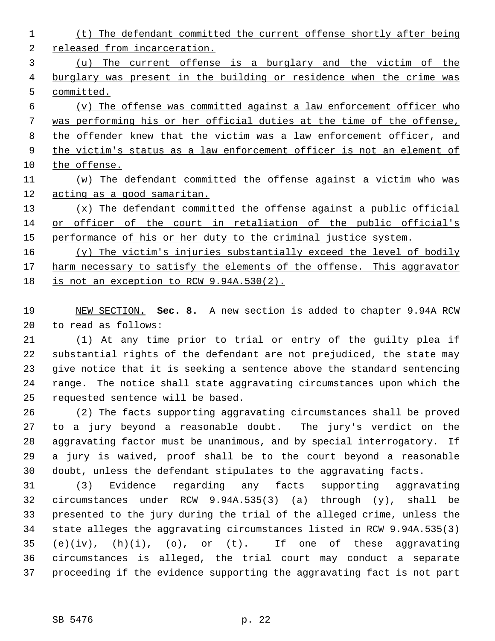(t) The defendant committed the current offense shortly after being released from incarceration. (u) The current offense is a burglary and the victim of the 4 burglary was present in the building or residence when the crime was committed. (v) The offense was committed against a law enforcement officer who was performing his or her official duties at the time of the offense, 8 the offender knew that the victim was a law enforcement officer, and 9 the victim's status as a law enforcement officer is not an element of the offense. (w) The defendant committed the offense against a victim who was acting as a good samaritan. (x) The defendant committed the offense against a public official or officer of the court in retaliation of the public official's 15 performance of his or her duty to the criminal justice system. (y) The victim's injuries substantially exceed the level of bodily 17 harm necessary to satisfy the elements of the offense. This aggravator

18 is not an exception to RCW 9.94A.530(2).

 NEW SECTION. **Sec. 8.** A new section is added to chapter 9.94A RCW to read as follows:

 (1) At any time prior to trial or entry of the guilty plea if substantial rights of the defendant are not prejudiced, the state may give notice that it is seeking a sentence above the standard sentencing range. The notice shall state aggravating circumstances upon which the requested sentence will be based.

 (2) The facts supporting aggravating circumstances shall be proved to a jury beyond a reasonable doubt. The jury's verdict on the aggravating factor must be unanimous, and by special interrogatory. If a jury is waived, proof shall be to the court beyond a reasonable doubt, unless the defendant stipulates to the aggravating facts.

 (3) Evidence regarding any facts supporting aggravating circumstances under RCW 9.94A.535(3) (a) through (y), shall be presented to the jury during the trial of the alleged crime, unless the state alleges the aggravating circumstances listed in RCW 9.94A.535(3) (e)(iv), (h)(i), (o), or (t). If one of these aggravating circumstances is alleged, the trial court may conduct a separate proceeding if the evidence supporting the aggravating fact is not part